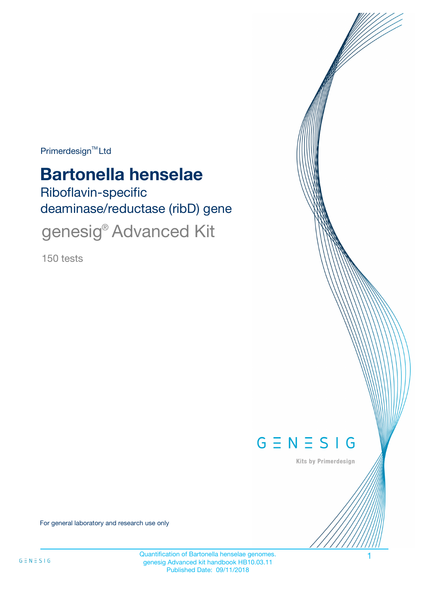$Primerdesign^{\text{TM}}$ Ltd

# **Bartonella henselae**

Riboflavin-specific deaminase/reductase (ribD) gene genesig<sup>®</sup> Advanced Kit

150 tests



Kits by Primerdesign

For general laboratory and research use only

Quantification of Bartonella henselae genomes. 1 genesig Advanced kit handbook HB10.03.11 Published Date: 09/11/2018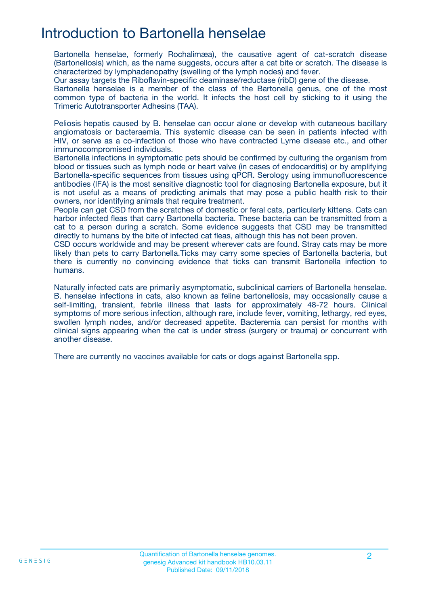## Introduction to Bartonella henselae

Bartonella henselae, formerly Rochalimæa), the causative agent of cat-scratch disease (Bartonellosis) which, as the name suggests, occurs after a cat bite or scratch. The disease is characterized by lymphadenopathy (swelling of the lymph nodes) and fever.

Our assay targets the Riboflavin-specific deaminase/reductase (ribD) gene of the disease.

Bartonella henselae is a member of the class of the Bartonella genus, one of the most common type of bacteria in the world. It infects the host cell by sticking to it using the Trimeric Autotransporter Adhesins (TAA).

Peliosis hepatis caused by B. henselae can occur alone or develop with cutaneous bacillary angiomatosis or bacteraemia. This systemic disease can be seen in patients infected with HIV, or serve as a co-infection of those who have contracted Lyme disease etc., and other immunocompromised individuals.

Bartonella infections in symptomatic pets should be confirmed by culturing the organism from blood or tissues such as lymph node or heart valve (in cases of endocarditis) or by amplifying Bartonella-specific sequences from tissues using qPCR. Serology using immunofluorescence antibodies (IFA) is the most sensitive diagnostic tool for diagnosing Bartonella exposure, but it is not useful as a means of predicting animals that may pose a public health risk to their owners, nor identifying animals that require treatment.

People can get CSD from the scratches of domestic or feral cats, particularly kittens. Cats can harbor infected fleas that carry Bartonella bacteria. These bacteria can be transmitted from a cat to a person during a scratch. Some evidence suggests that CSD may be transmitted directly to humans by the bite of infected cat fleas, although this has not been proven.

CSD occurs worldwide and may be present wherever cats are found. Stray cats may be more likely than pets to carry Bartonella.Ticks may carry some species of Bartonella bacteria, but there is currently no convincing evidence that ticks can transmit Bartonella infection to humans.

Naturally infected cats are primarily asymptomatic, subclinical carriers of Bartonella henselae. B. henselae infections in cats, also known as feline bartonellosis, may occasionally cause a self-limiting, transient, febrile illness that lasts for approximately 48-72 hours. Clinical symptoms of more serious infection, although rare, include fever, vomiting, lethargy, red eyes, swollen lymph nodes, and/or decreased appetite. Bacteremia can persist for months with clinical signs appearing when the cat is under stress (surgery or trauma) or concurrent with another disease.

There are currently no vaccines available for cats or dogs against Bartonella spp.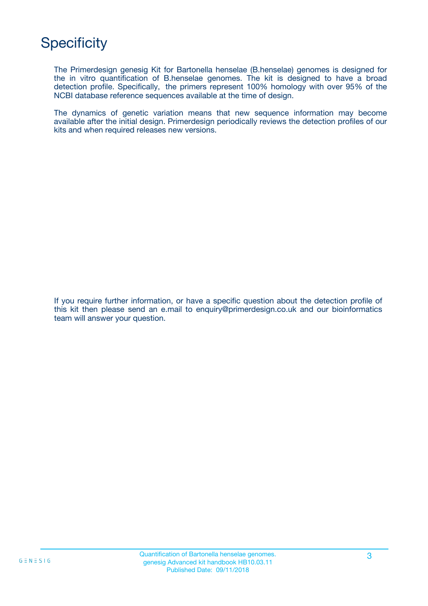## **Specificity**

The Primerdesign genesig Kit for Bartonella henselae (B.henselae) genomes is designed for the in vitro quantification of B.henselae genomes. The kit is designed to have a broad detection profile. Specifically, the primers represent 100% homology with over 95% of the NCBI database reference sequences available at the time of design.

The dynamics of genetic variation means that new sequence information may become available after the initial design. Primerdesign periodically reviews the detection profiles of our kits and when required releases new versions.

If you require further information, or have a specific question about the detection profile of this kit then please send an e.mail to enquiry@primerdesign.co.uk and our bioinformatics team will answer your question.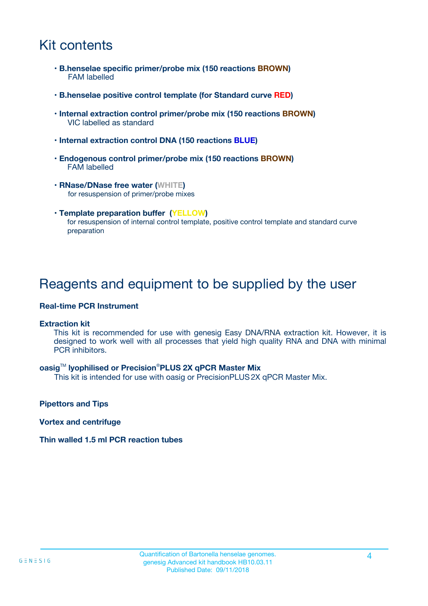## Kit contents

- **B.henselae specific primer/probe mix (150 reactions BROWN)** FAM labelled
- **B.henselae positive control template (for Standard curve RED)**
- **Internal extraction control primer/probe mix (150 reactions BROWN)** VIC labelled as standard
- **Internal extraction control DNA (150 reactions BLUE)**
- **Endogenous control primer/probe mix (150 reactions BROWN)** FAM labelled
- **RNase/DNase free water (WHITE)** for resuspension of primer/probe mixes
- **Template preparation buffer (YELLOW)** for resuspension of internal control template, positive control template and standard curve preparation

### Reagents and equipment to be supplied by the user

#### **Real-time PCR Instrument**

#### **Extraction kit**

This kit is recommended for use with genesig Easy DNA/RNA extraction kit. However, it is designed to work well with all processes that yield high quality RNA and DNA with minimal PCR inhibitors.

#### **oasig**TM **lyophilised or Precision**®**PLUS 2X qPCR Master Mix**

This kit is intended for use with oasig or PrecisionPLUS2X qPCR Master Mix.

**Pipettors and Tips**

**Vortex and centrifuge**

#### **Thin walled 1.5 ml PCR reaction tubes**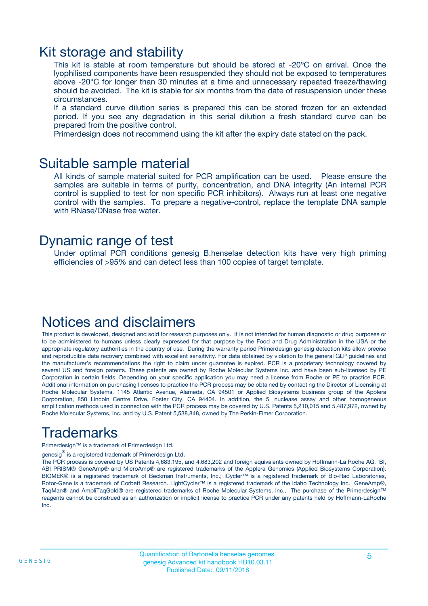### Kit storage and stability

This kit is stable at room temperature but should be stored at -20ºC on arrival. Once the lyophilised components have been resuspended they should not be exposed to temperatures above -20°C for longer than 30 minutes at a time and unnecessary repeated freeze/thawing should be avoided. The kit is stable for six months from the date of resuspension under these circumstances.

If a standard curve dilution series is prepared this can be stored frozen for an extended period. If you see any degradation in this serial dilution a fresh standard curve can be prepared from the positive control.

Primerdesign does not recommend using the kit after the expiry date stated on the pack.

### Suitable sample material

All kinds of sample material suited for PCR amplification can be used. Please ensure the samples are suitable in terms of purity, concentration, and DNA integrity (An internal PCR control is supplied to test for non specific PCR inhibitors). Always run at least one negative control with the samples. To prepare a negative-control, replace the template DNA sample with RNase/DNase free water.

### Dynamic range of test

Under optimal PCR conditions genesig B.henselae detection kits have very high priming efficiencies of >95% and can detect less than 100 copies of target template.

### Notices and disclaimers

This product is developed, designed and sold for research purposes only. It is not intended for human diagnostic or drug purposes or to be administered to humans unless clearly expressed for that purpose by the Food and Drug Administration in the USA or the appropriate regulatory authorities in the country of use. During the warranty period Primerdesign genesig detection kits allow precise and reproducible data recovery combined with excellent sensitivity. For data obtained by violation to the general GLP guidelines and the manufacturer's recommendations the right to claim under guarantee is expired. PCR is a proprietary technology covered by several US and foreign patents. These patents are owned by Roche Molecular Systems Inc. and have been sub-licensed by PE Corporation in certain fields. Depending on your specific application you may need a license from Roche or PE to practice PCR. Additional information on purchasing licenses to practice the PCR process may be obtained by contacting the Director of Licensing at Roche Molecular Systems, 1145 Atlantic Avenue, Alameda, CA 94501 or Applied Biosystems business group of the Applera Corporation, 850 Lincoln Centre Drive, Foster City, CA 94404. In addition, the 5' nuclease assay and other homogeneous amplification methods used in connection with the PCR process may be covered by U.S. Patents 5,210,015 and 5,487,972, owned by Roche Molecular Systems, Inc, and by U.S. Patent 5,538,848, owned by The Perkin-Elmer Corporation.

## Trademarks

Primerdesign™ is a trademark of Primerdesign Ltd.

genesig $^\circledR$  is a registered trademark of Primerdesign Ltd.

The PCR process is covered by US Patents 4,683,195, and 4,683,202 and foreign equivalents owned by Hoffmann-La Roche AG. BI, ABI PRISM® GeneAmp® and MicroAmp® are registered trademarks of the Applera Genomics (Applied Biosystems Corporation). BIOMEK® is a registered trademark of Beckman Instruments, Inc.; iCycler™ is a registered trademark of Bio-Rad Laboratories, Rotor-Gene is a trademark of Corbett Research. LightCycler™ is a registered trademark of the Idaho Technology Inc. GeneAmp®, TaqMan® and AmpliTaqGold® are registered trademarks of Roche Molecular Systems, Inc., The purchase of the Primerdesign™ reagents cannot be construed as an authorization or implicit license to practice PCR under any patents held by Hoffmann-LaRoche Inc.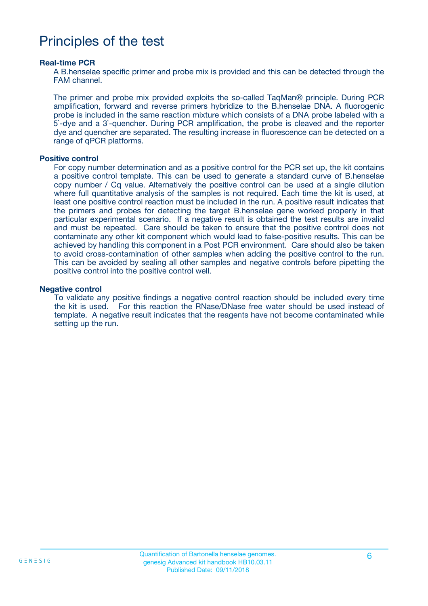## Principles of the test

#### **Real-time PCR**

A B.henselae specific primer and probe mix is provided and this can be detected through the FAM channel.

The primer and probe mix provided exploits the so-called TaqMan® principle. During PCR amplification, forward and reverse primers hybridize to the B.henselae DNA. A fluorogenic probe is included in the same reaction mixture which consists of a DNA probe labeled with a 5`-dye and a 3`-quencher. During PCR amplification, the probe is cleaved and the reporter dye and quencher are separated. The resulting increase in fluorescence can be detected on a range of qPCR platforms.

#### **Positive control**

For copy number determination and as a positive control for the PCR set up, the kit contains a positive control template. This can be used to generate a standard curve of B.henselae copy number / Cq value. Alternatively the positive control can be used at a single dilution where full quantitative analysis of the samples is not required. Each time the kit is used, at least one positive control reaction must be included in the run. A positive result indicates that the primers and probes for detecting the target B.henselae gene worked properly in that particular experimental scenario. If a negative result is obtained the test results are invalid and must be repeated. Care should be taken to ensure that the positive control does not contaminate any other kit component which would lead to false-positive results. This can be achieved by handling this component in a Post PCR environment. Care should also be taken to avoid cross-contamination of other samples when adding the positive control to the run. This can be avoided by sealing all other samples and negative controls before pipetting the positive control into the positive control well.

#### **Negative control**

To validate any positive findings a negative control reaction should be included every time the kit is used. For this reaction the RNase/DNase free water should be used instead of template. A negative result indicates that the reagents have not become contaminated while setting up the run.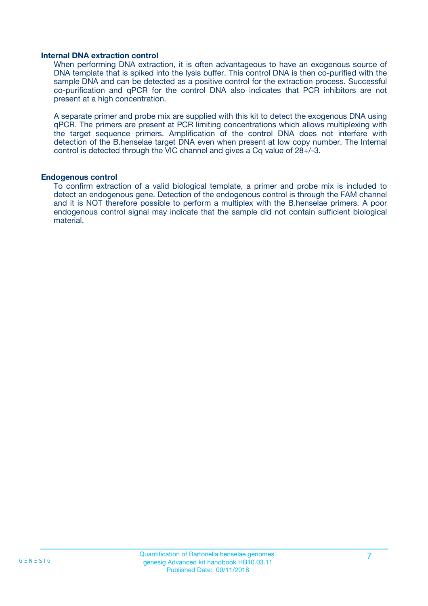#### **Internal DNA extraction control**

When performing DNA extraction, it is often advantageous to have an exogenous source of DNA template that is spiked into the lysis buffer. This control DNA is then co-purified with the sample DNA and can be detected as a positive control for the extraction process. Successful co-purification and qPCR for the control DNA also indicates that PCR inhibitors are not present at a high concentration.

A separate primer and probe mix are supplied with this kit to detect the exogenous DNA using qPCR. The primers are present at PCR limiting concentrations which allows multiplexing with the target sequence primers. Amplification of the control DNA does not interfere with detection of the B.henselae target DNA even when present at low copy number. The Internal control is detected through the VIC channel and gives a Cq value of 28+/-3.

#### **Endogenous control**

To confirm extraction of a valid biological template, a primer and probe mix is included to detect an endogenous gene. Detection of the endogenous control is through the FAM channel and it is NOT therefore possible to perform a multiplex with the B.henselae primers. A poor endogenous control signal may indicate that the sample did not contain sufficient biological material.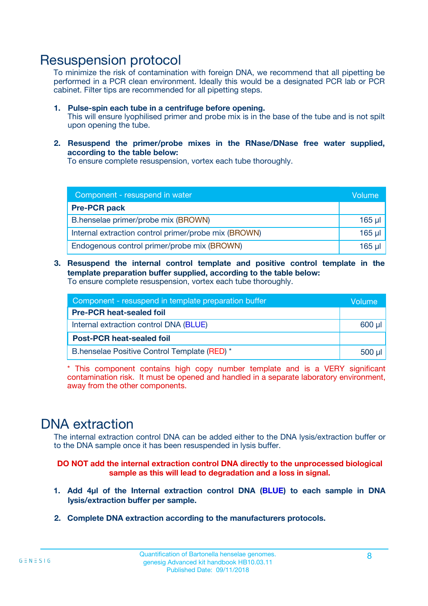### Resuspension protocol

To minimize the risk of contamination with foreign DNA, we recommend that all pipetting be performed in a PCR clean environment. Ideally this would be a designated PCR lab or PCR cabinet. Filter tips are recommended for all pipetting steps.

- **1. Pulse-spin each tube in a centrifuge before opening.** This will ensure lyophilised primer and probe mix is in the base of the tube and is not spilt upon opening the tube.
- **2. Resuspend the primer/probe mixes in the RNase/DNase free water supplied, according to the table below:**

To ensure complete resuspension, vortex each tube thoroughly.

| Component - resuspend in water                       |          |  |
|------------------------------------------------------|----------|--|
| <b>Pre-PCR pack</b>                                  |          |  |
| B.henselae primer/probe mix (BROWN)                  | $165$ µ  |  |
| Internal extraction control primer/probe mix (BROWN) | $165$ µl |  |
| Endogenous control primer/probe mix (BROWN)          | 165 µl   |  |

**3. Resuspend the internal control template and positive control template in the template preparation buffer supplied, according to the table below:** To ensure complete resuspension, vortex each tube thoroughly.

| Component - resuspend in template preparation buffer |  |  |  |
|------------------------------------------------------|--|--|--|
| <b>Pre-PCR heat-sealed foil</b>                      |  |  |  |
| Internal extraction control DNA (BLUE)               |  |  |  |
| <b>Post-PCR heat-sealed foil</b>                     |  |  |  |
| B.henselae Positive Control Template (RED) *         |  |  |  |

\* This component contains high copy number template and is a VERY significant contamination risk. It must be opened and handled in a separate laboratory environment, away from the other components.

### DNA extraction

The internal extraction control DNA can be added either to the DNA lysis/extraction buffer or to the DNA sample once it has been resuspended in lysis buffer.

**DO NOT add the internal extraction control DNA directly to the unprocessed biological sample as this will lead to degradation and a loss in signal.**

- **1. Add 4µl of the Internal extraction control DNA (BLUE) to each sample in DNA lysis/extraction buffer per sample.**
- **2. Complete DNA extraction according to the manufacturers protocols.**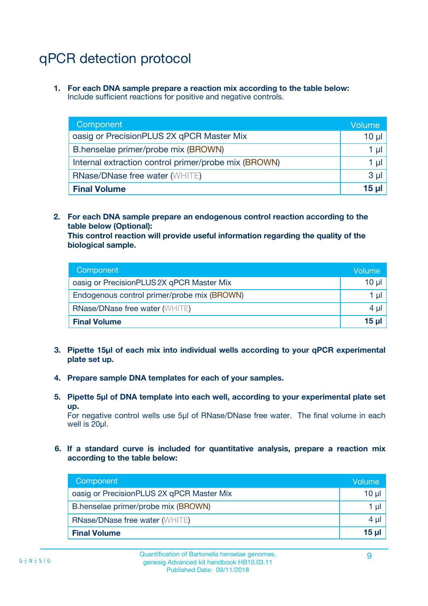## qPCR detection protocol

**1. For each DNA sample prepare a reaction mix according to the table below:** Include sufficient reactions for positive and negative controls.

| Component                                            | Volume   |
|------------------------------------------------------|----------|
| oasig or PrecisionPLUS 2X qPCR Master Mix            | $10 \mu$ |
| B.henselae primer/probe mix (BROWN)                  | 1 µI     |
| Internal extraction control primer/probe mix (BROWN) | 1 µl     |
| <b>RNase/DNase free water (WHITE)</b>                | $3 \mu$  |
| <b>Final Volume</b>                                  | 15 µl    |

**2. For each DNA sample prepare an endogenous control reaction according to the table below (Optional):**

**This control reaction will provide useful information regarding the quality of the biological sample.**

| Component                                   | Volume   |
|---------------------------------------------|----------|
| oasig or PrecisionPLUS 2X qPCR Master Mix   | $10 \mu$ |
| Endogenous control primer/probe mix (BROWN) | 1 µI     |
| <b>RNase/DNase free water (WHITE)</b>       | $4 \mu$  |
| <b>Final Volume</b>                         | 15 µl    |

- **3. Pipette 15µl of each mix into individual wells according to your qPCR experimental plate set up.**
- **4. Prepare sample DNA templates for each of your samples.**
- **5. Pipette 5µl of DNA template into each well, according to your experimental plate set up.**

For negative control wells use 5µl of RNase/DNase free water. The final volume in each well is 20ul.

**6. If a standard curve is included for quantitative analysis, prepare a reaction mix according to the table below:**

| Component                                 | Volume          |
|-------------------------------------------|-----------------|
| oasig or PrecisionPLUS 2X qPCR Master Mix | $10 \mu$        |
| B.henselae primer/probe mix (BROWN)       | 1 µI -          |
| <b>RNase/DNase free water (WHITE)</b>     | 4 µl            |
| <b>Final Volume</b>                       | 15 <sub>µ</sub> |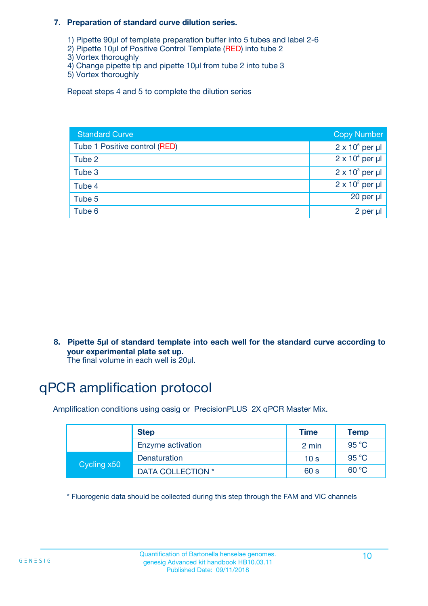#### **7. Preparation of standard curve dilution series.**

- 1) Pipette 90µl of template preparation buffer into 5 tubes and label 2-6
- 2) Pipette 10µl of Positive Control Template (RED) into tube 2
- 3) Vortex thoroughly
- 4) Change pipette tip and pipette 10µl from tube 2 into tube 3
- 5) Vortex thoroughly

Repeat steps 4 and 5 to complete the dilution series

| <b>Standard Curve</b>         | <b>Copy Number</b>     |
|-------------------------------|------------------------|
| Tube 1 Positive control (RED) | $2 \times 10^5$ per µl |
| Tube 2                        | $2 \times 10^4$ per µl |
| Tube 3                        | $2 \times 10^3$ per µl |
| Tube 4                        | $2 \times 10^2$ per µl |
| Tube 5                        | 20 per µl              |
| Tube 6                        | 2 per µl               |

**8. Pipette 5µl of standard template into each well for the standard curve according to your experimental plate set up.**

#### The final volume in each well is 20µl.

## qPCR amplification protocol

Amplification conditions using oasig or PrecisionPLUS 2X qPCR Master Mix.

|             | <b>Step</b>       | <b>Time</b>     | Temp    |
|-------------|-------------------|-----------------|---------|
|             | Enzyme activation | 2 min           | 95 °C   |
| Cycling x50 | Denaturation      | 10 <sub>s</sub> | 95 $°C$ |
|             | DATA COLLECTION * | 60 s            | 60 °C   |

\* Fluorogenic data should be collected during this step through the FAM and VIC channels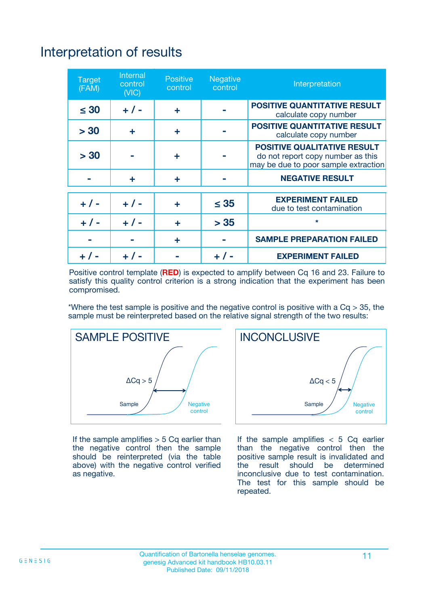## Interpretation of results

| <b>Target</b><br>(FAM) | <b>Internal</b><br>control<br>(NIC) | <b>Positive</b><br>control | <b>Negative</b><br>control | Interpretation                                                                                                  |
|------------------------|-------------------------------------|----------------------------|----------------------------|-----------------------------------------------------------------------------------------------------------------|
| $\leq 30$              | $+ 1 -$                             | ÷                          |                            | <b>POSITIVE QUANTITATIVE RESULT</b><br>calculate copy number                                                    |
| > 30                   | ٠                                   | ÷                          |                            | <b>POSITIVE QUANTITATIVE RESULT</b><br>calculate copy number                                                    |
| > 30                   |                                     | ÷                          |                            | <b>POSITIVE QUALITATIVE RESULT</b><br>do not report copy number as this<br>may be due to poor sample extraction |
|                        | ÷                                   | ÷                          |                            | <b>NEGATIVE RESULT</b>                                                                                          |
| $+ 1 -$                | $+ 1 -$                             | ÷                          | $\leq$ 35                  | <b>EXPERIMENT FAILED</b><br>due to test contamination                                                           |
| $+$ / -                | $+ 1 -$                             | ÷                          | > 35                       | $\star$                                                                                                         |
|                        |                                     | ÷                          |                            | <b>SAMPLE PREPARATION FAILED</b>                                                                                |
|                        |                                     |                            | $+$ /                      | <b>EXPERIMENT FAILED</b>                                                                                        |

Positive control template (**RED**) is expected to amplify between Cq 16 and 23. Failure to satisfy this quality control criterion is a strong indication that the experiment has been compromised.

\*Where the test sample is positive and the negative control is positive with a  $Ca > 35$ , the sample must be reinterpreted based on the relative signal strength of the two results:



If the sample amplifies  $>$  5 Cq earlier than the negative control then the sample should be reinterpreted (via the table above) with the negative control verified as negative.



If the sample amplifies  $< 5$  Cq earlier than the negative control then the positive sample result is invalidated and<br>the result should be determined  $the$  result should be inconclusive due to test contamination. The test for this sample should be repeated.